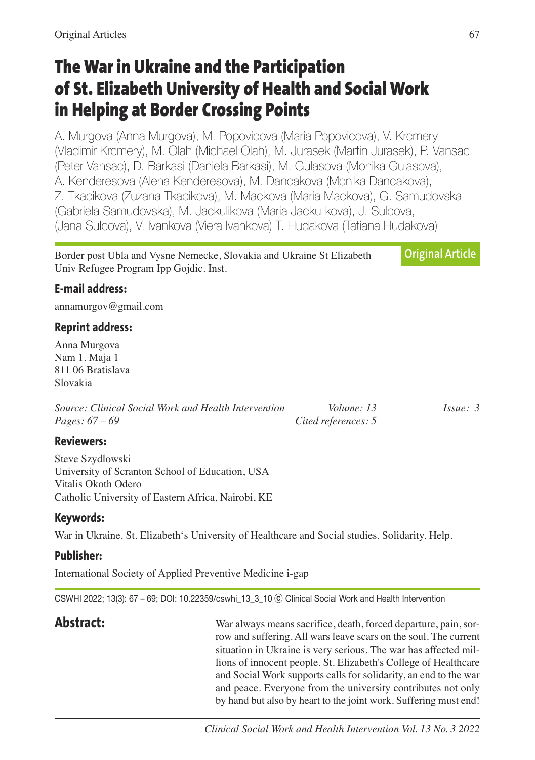# **The War in Ukraine and the Participation of St. Elizabeth University of Health and Social Work in Helping at Border Crossing Points**

A. Murgova (Anna Murgova), M. Popovicova (Maria Popovicova), V. Krcmery (Vladimir Krcmery), M. Olah (Michael Olah), M. Jurasek (Martin Jurasek), P. Vansac (Peter Vansac), D. Barkasi (Daniela Barkasi), M. Gulasova (Monika Gulasova), A. Kenderesova (Alena Kenderesova), M. Dancakova (Monika Dancakova), Z. Tkacikova (Zuzana Tkacikova), M. Mackova (Maria Mackova), G. Samudovska (Gabriela Samudovska), M. Jackulikova (Maria Jackulikova), J. Sulcova, (Jana Sulcova), V. Ivankova (Viera Ivankova) T. Hudakova (Tatiana Hudakova)

Border post Ubla and Vysne Nemecke, Slovakia and Ukraine St Elizabeth Univ Refugee Program Ipp Gojdic. Inst. **Original Article**

### **E-mail address:**

annamurgov@gmail.com

### **Reprint address:**

Anna Murgova Nam 1. Maja 1 811 06 Bratislava Slovakia

*Source: Clinical Social Work and Health Intervention Volume: 13 Issue: 3 Pages: 67 – 69 Cited references: 5*

#### **Reviewers:**

Steve Szydlowski University of Scranton School of Education, USA Vitalis Okoth Odero Catholic University of Eastern Africa, Nairobi, KE

#### **Keywords:**

War in Ukraine. St. Elizabeth's University of Healthcare and Social studies. Solidarity. Help.

## **Publisher:**

International Society of Applied Preventive Medicine i-gap

CSWHI 2022; 13(3): 67 – 69; DOI: 10.22359/cswhi\_13\_3\_10 ⓒ Clinical Social Work and Health Intervention

**Abstract:** War always means sacrifice, death, forced departure, pain, sorrow and suffering. All wars leave scars on the soul. The current situation in Ukraine is very serious. The war has affected millions of innocent people. St. Elizabeth's College of Healthcare and Social Work supports calls for solidarity, an end to the war and peace. Everyone from the university contributes not only by hand but also by heart to the joint work. Suffering must end!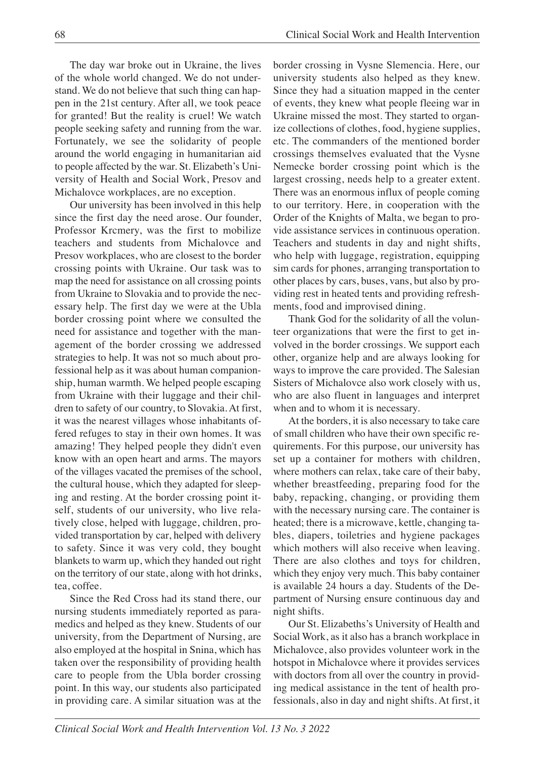The day war broke out in Ukraine, the lives of the whole world changed. We do not understand. We do not believe that such thing can happen in the 21st century. After all, we took peace for granted! But the reality is cruel! We watch people seeking safety and running from the war. Fortunately, we see the solidarity of people around the world engaging in humanitarian aid to people affected by the war. St. Elizabeth's University of Health and Social Work, Presov and Michalovce workplaces, are no exception.

Our university has been involved in this help since the first day the need arose. Our founder, Professor Krcmery, was the first to mobilize teachers and students from Michalovce and Presov workplaces, who are closest to the border crossing points with Ukraine. Our task was to map the need for assistance on all crossing points from Ukraine to Slovakia and to provide the necessary help. The first day we were at the Ubla border crossing point where we consulted the need for assistance and together with the management of the border crossing we addressed strategies to help. It was not so much about professional help as it was about human companionship, human warmth. We helped people escaping from Ukraine with their luggage and their children to safety of our country, to Slovakia. At first, it was the nearest villages whose inhabitants offered refuges to stay in their own homes. It was amazing! They helped people they didn't even know with an open heart and arms. The mayors of the villages vacated the premises of the school, the cultural house, which they adapted for sleeping and resting. At the border crossing point itself, students of our university, who live relatively close, helped with luggage, children, provided transportation by car, helped with delivery to safety. Since it was very cold, they bought blankets to warm up, which they handed out right on the territory of our state, along with hot drinks, tea, coffee.

Since the Red Cross had its stand there, our nursing students immediately reported as paramedics and helped as they knew. Students of our university, from the Department of Nursing, are also employed at the hospital in Snina, which has taken over the responsibility of providing health care to people from the Ubla border crossing point. In this way, our students also participated in providing care. A similar situation was at the border crossing in Vysne Slemencia. Here, our university students also helped as they knew. Since they had a situation mapped in the center of events, they knew what people fleeing war in Ukraine missed the most. They started to organize collections of clothes, food, hygiene supplies, etc. The commanders of the mentioned border crossings themselves evaluated that the Vysne Nemecke border crossing point which is the largest crossing, needs help to a greater extent. There was an enormous influx of people coming to our territory. Here, in cooperation with the Order of the Knights of Malta, we began to provide assistance services in continuous operation. Teachers and students in day and night shifts, who help with luggage, registration, equipping sim cards for phones, arranging transportation to other places by cars, buses, vans, but also by providing rest in heated tents and providing refreshments, food and improvised dining.

Thank God for the solidarity of all the volunteer organizations that were the first to get involved in the border crossings. We support each other, organize help and are always looking for ways to improve the care provided. The Salesian Sisters of Michalovce also work closely with us, who are also fluent in languages and interpret when and to whom it is necessary.

At the borders, it is also necessary to take care of small children who have their own specific requirements. For this purpose, our university has set up a container for mothers with children, where mothers can relax, take care of their baby, whether breastfeeding, preparing food for the baby, repacking, changing, or providing them with the necessary nursing care. The container is heated; there is a microwave, kettle, changing tables, diapers, toiletries and hygiene packages which mothers will also receive when leaving. There are also clothes and toys for children, which they enjoy very much. This baby container is available 24 hours a day. Students of the Department of Nursing ensure continuous day and night shifts.

Our St. Elizabeths's University of Health and Social Work, as it also has a branch workplace in Michalovce, also provides volunteer work in the hotspot in Michalovce where it provides services with doctors from all over the country in providing medical assistance in the tent of health professionals, also in day and night shifts. At first, it